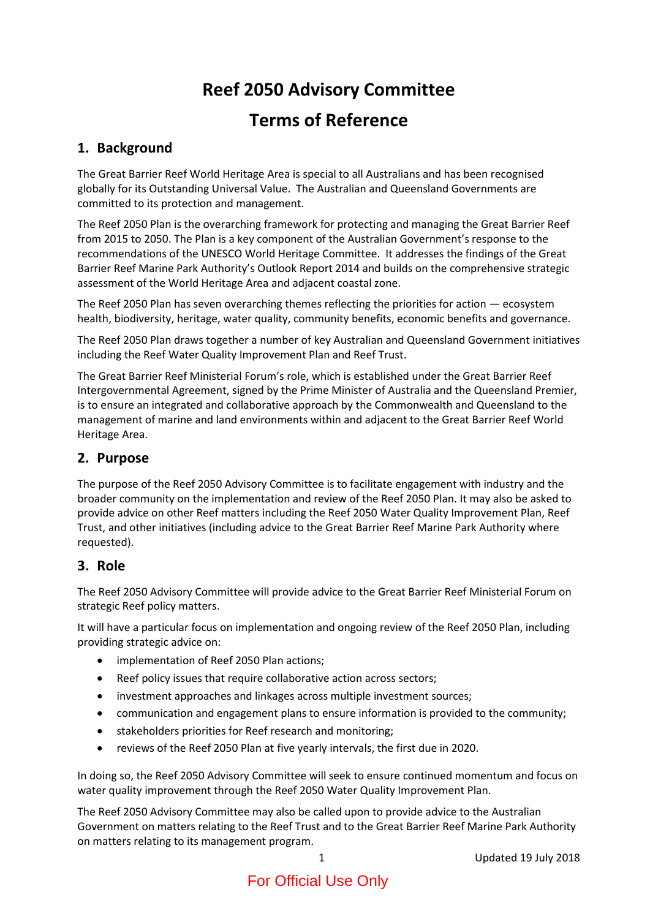# **Reef 2050 Advisory Committee Terms of Reference**

# **1. Background**

The Great Barrier Reef World Heritage Area is special to all Australians and has been recognised globally for its Outstanding Universal Value. The Australian and Queensland Governments are committed to its protection and management.

The Reef 2050 Plan is the overarching framework for protecting and managing the Great Barrier Reef from 2015 to 2050. The Plan is a key component of the Australian Government's response to the recommendations of the UNESCO World Heritage Committee. It addresses the findings of the Great Barrier Reef Marine Park Authority's Outlook Report 2014 and builds on the comprehensive strategic assessment of the World Heritage Area and adjacent coastal zone.

The Reef 2050 Plan has seven overarching themes reflecting the priorities for action — ecosystem health, biodiversity, heritage, water quality, community benefits, economic benefits and governance.

The Reef 2050 Plan draws together a number of key Australian and Queensland Government initiatives including the Reef Water Quality Improvement Plan and Reef Trust.

The Great Barrier Reef Ministerial Forum's role, which is established under the Great Barrier Reef Intergovernmental Agreement, signed by the Prime Minister of Australia and the Queensland Premier, is to ensure an integrated and collaborative approach by the Commonwealth and Queensland to the management of marine and land environments within and adjacent to the Great Barrier Reef World Heritage Area.

### **2. Purpose**

The purpose of the Reef 2050 Advisory Committee is to facilitate engagement with industry and the broader community on the implementation and review of the Reef 2050 Plan. It may also be asked to provide advice on other Reef matters including the Reef 2050 Water Quality Improvement Plan, Reef Trust, and other initiatives (including advice to the Great Barrier Reef Marine Park Authority where requested).

#### **3. Role**

The Reef 2050 Advisory Committee will provide advice to the Great Barrier Reef Ministerial Forum on strategic Reef policy matters.

It will have a particular focus on implementation and ongoing review of the Reef 2050 Plan, including providing strategic advice on:

- implementation of Reef 2050 Plan actions;
- Reef policy issues that require collaborative action across sectors;
- investment approaches and linkages across multiple investment sources;
- communication and engagement plans to ensure information is provided to the community;
- stakeholders priorities for Reef research and monitoring;
- reviews of the Reef 2050 Plan at five yearly intervals, the first due in 2020.

In doing so, the Reef 2050 Advisory Committee will seek to ensure continued momentum and focus on water quality improvement through the Reef 2050 Water Quality Improvement Plan.

The Reef 2050 Advisory Committee may also be called upon to provide advice to the Australian Government on matters relating to the Reef Trust and to the Great Barrier Reef Marine Park Authority on matters relating to its management program.

1 Updated 19 July 2018

# For Official Use Only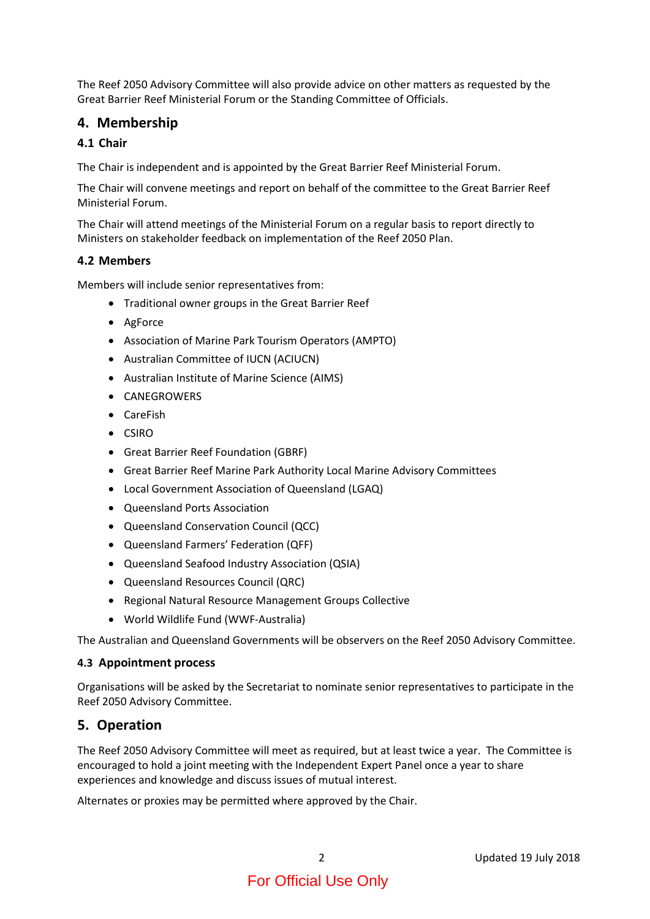The Reef 2050 Advisory Committee will also provide advice on other matters as requested by the Great Barrier Reef Ministerial Forum or the Standing Committee of Officials.

## **4. Membership**

#### **4.1 Chair**

The Chair is independent and is appointed by the Great Barrier Reef Ministerial Forum.

The Chair will convene meetings and report on behalf of the committee to the Great Barrier Reef Ministerial Forum.

The Chair will attend meetings of the Ministerial Forum on a regular basis to report directly to Ministers on stakeholder feedback on implementation of the Reef 2050 Plan.

#### **4.2 Members**

Members will include senior representatives from:

- Traditional owner groups in the Great Barrier Reef
- AgForce
- Association of Marine Park Tourism Operators (AMPTO)
- Australian Committee of IUCN (ACIUCN)
- Australian Institute of Marine Science (AIMS)
- CANEGROWERS
- CareFish
- CSIRO
- Great Barrier Reef Foundation (GBRF)
- Great Barrier Reef Marine Park Authority Local Marine Advisory Committees
- Local Government Association of Queensland (LGAQ)
- Queensland Ports Association
- Queensland Conservation Council (QCC)
- Queensland Farmers' Federation (QFF)
- Queensland Seafood Industry Association (QSIA)
- Queensland Resources Council (QRC)
- Regional Natural Resource Management Groups Collective
- World Wildlife Fund (WWF-Australia)

The Australian and Queensland Governments will be observers on the Reef 2050 Advisory Committee.

#### **4.3 Appointment process**

Organisations will be asked by the Secretariat to nominate senior representatives to participate in the Reef 2050 Advisory Committee.

#### **5. Operation**

The Reef 2050 Advisory Committee will meet as required, but at least twice a year. The Committee is encouraged to hold a joint meeting with the Independent Expert Panel once a year to share experiences and knowledge and discuss issues of mutual interest.

Alternates or proxies may be permitted where approved by the Chair.